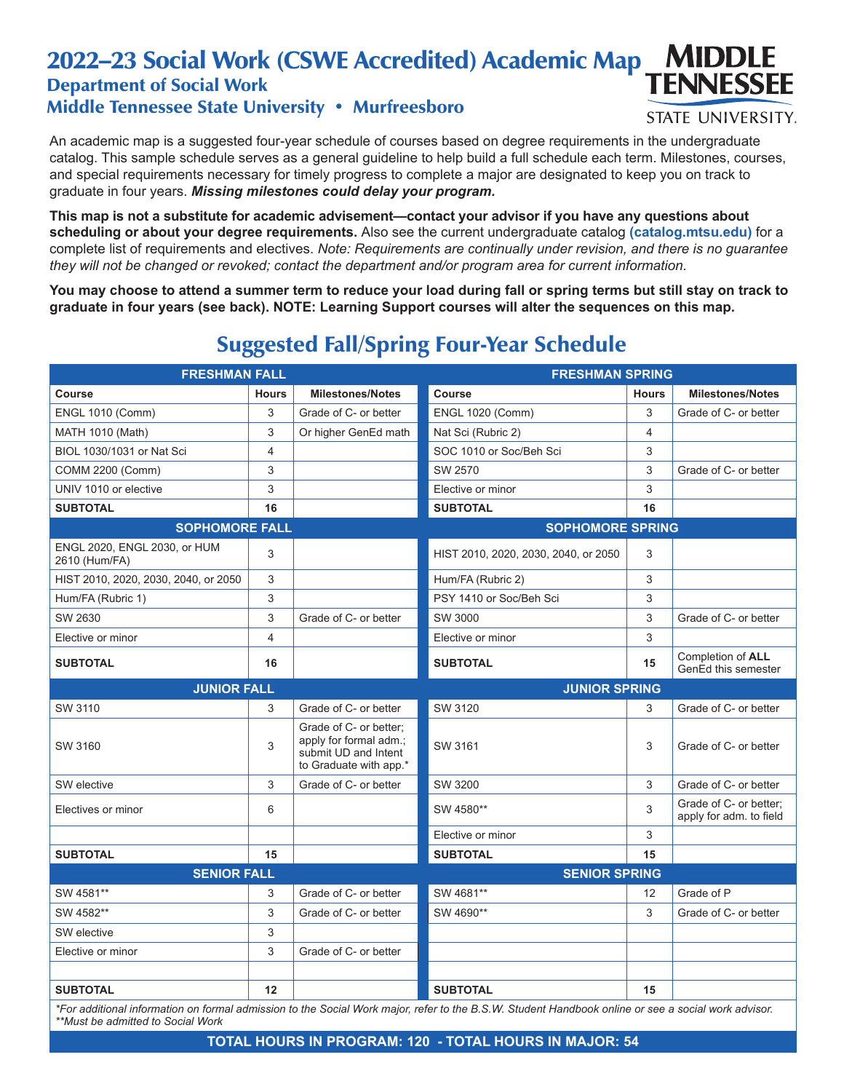#### 2022–23 Social Work (CSWE Accredited) Academic Map **MIDDLE TENNESSEE** Department of Social Work

## Middle Tennessee State University • Murfreesboro

An academic map is a suggested four-year schedule of courses based on degree requirements in the undergraduate catalog. This sample schedule serves as a general guideline to help build a full schedule each term. Milestones, courses, and special requirements necessary for timely progress to complete a major are designated to keep you on track to graduate in four years. *Missing milestones could delay your program.*

**STATE UNIVERSITY.** 

**This map is not a substitute for academic advisement—contact your advisor if you have any questions about scheduling or about your degree requirements.** Also see the current undergraduate catalog **(catalog.mtsu.edu)** for a complete list of requirements and electives. *Note: Requirements are continually under revision, and there is no guarantee they will not be changed or revoked; contact the department and/or program area for current information.*

**You may choose to attend a summer term to reduce your load during fall or spring terms but still stay on track to graduate in four years (see back). NOTE: Learning Support courses will alter the sequences on this map.**

# Suggested Fall/Spring Four-Year Schedule

| <b>FRESHMAN FALL</b>                          |                |                                                                                                    | <b>FRESHMAN SPRING</b>                                                                                                                                                 |              |                                                   |  |
|-----------------------------------------------|----------------|----------------------------------------------------------------------------------------------------|------------------------------------------------------------------------------------------------------------------------------------------------------------------------|--------------|---------------------------------------------------|--|
| Course                                        | <b>Hours</b>   | <b>Milestones/Notes</b>                                                                            | <b>Course</b>                                                                                                                                                          | <b>Hours</b> | <b>Milestones/Notes</b>                           |  |
| <b>ENGL 1010 (Comm)</b>                       | 3              | Grade of C- or better                                                                              | <b>ENGL 1020 (Comm)</b>                                                                                                                                                | 3            | Grade of C- or better                             |  |
| <b>MATH 1010 (Math)</b>                       | 3              | Or higher GenEd math                                                                               | Nat Sci (Rubric 2)                                                                                                                                                     | 4            |                                                   |  |
| BIOL 1030/1031 or Nat Sci                     | $\overline{4}$ |                                                                                                    | SOC 1010 or Soc/Beh Sci                                                                                                                                                | 3            |                                                   |  |
| COMM 2200 (Comm)                              | 3              |                                                                                                    | SW 2570                                                                                                                                                                | 3            | Grade of C- or better                             |  |
| UNIV 1010 or elective                         | 3              |                                                                                                    | Elective or minor                                                                                                                                                      | 3            |                                                   |  |
| <b>SUBTOTAL</b>                               | 16             |                                                                                                    | <b>SUBTOTAL</b>                                                                                                                                                        | 16           |                                                   |  |
| <b>SOPHOMORE FALL</b>                         |                |                                                                                                    | <b>SOPHOMORE SPRING</b>                                                                                                                                                |              |                                                   |  |
| ENGL 2020, ENGL 2030, or HUM<br>2610 (Hum/FA) | 3              |                                                                                                    | HIST 2010, 2020, 2030, 2040, or 2050                                                                                                                                   | 3            |                                                   |  |
| HIST 2010, 2020, 2030, 2040, or 2050          | 3              |                                                                                                    | Hum/FA (Rubric 2)                                                                                                                                                      | 3            |                                                   |  |
| Hum/FA (Rubric 1)                             | 3              |                                                                                                    | PSY 1410 or Soc/Beh Sci                                                                                                                                                | 3            |                                                   |  |
| SW 2630                                       | 3              | Grade of C- or better                                                                              | SW 3000                                                                                                                                                                | 3            | Grade of C- or better                             |  |
| Elective or minor                             | $\overline{4}$ |                                                                                                    | Elective or minor                                                                                                                                                      | 3            |                                                   |  |
| <b>SUBTOTAL</b>                               | 16             |                                                                                                    | <b>SUBTOTAL</b>                                                                                                                                                        | 15           | Completion of ALL<br>GenEd this semester          |  |
| <b>JUNIOR FALL</b>                            |                |                                                                                                    | <b>JUNIOR SPRING</b>                                                                                                                                                   |              |                                                   |  |
| SW 3110                                       | 3              | Grade of C- or better                                                                              | SW 3120                                                                                                                                                                | 3            | Grade of C- or better                             |  |
| SW 3160                                       | 3              | Grade of C- or better:<br>apply for formal adm.;<br>submit UD and Intent<br>to Graduate with app.* | SW 3161                                                                                                                                                                | 3            | Grade of C- or better                             |  |
| SW elective                                   | 3              | Grade of C- or better                                                                              | SW 3200                                                                                                                                                                | 3            | Grade of C- or better                             |  |
| Electives or minor                            | 6              |                                                                                                    | SW 4580**                                                                                                                                                              | 3            | Grade of C- or better;<br>apply for adm. to field |  |
|                                               |                |                                                                                                    | Elective or minor                                                                                                                                                      | 3            |                                                   |  |
| <b>SUBTOTAL</b>                               | 15             |                                                                                                    | <b>SUBTOTAL</b>                                                                                                                                                        | 15           |                                                   |  |
| <b>SENIOR FALL</b>                            |                |                                                                                                    | <b>SENIOR SPRING</b>                                                                                                                                                   |              |                                                   |  |
| SW 4581**                                     | 3              | Grade of C- or better                                                                              | SW 4681**                                                                                                                                                              | 12           | Grade of P                                        |  |
| SW 4582**                                     | 3              | Grade of C- or better                                                                              | SW 4690**                                                                                                                                                              | 3            | Grade of C- or better                             |  |
| SW elective                                   | 3              |                                                                                                    |                                                                                                                                                                        |              |                                                   |  |
| Elective or minor                             | 3              | Grade of C- or better                                                                              |                                                                                                                                                                        |              |                                                   |  |
|                                               |                |                                                                                                    |                                                                                                                                                                        |              |                                                   |  |
| <b>SUBTOTAL</b>                               | 12             |                                                                                                    | <b>SUBTOTAL</b><br>*For additional information on formal admission to the Social Work major, refer to the R.S.W. Student Handbook online or see a social work advisor. | 15           |                                                   |  |

*\*For additional information on formal admission to the Social Work major, refer to the B.S.W. Student Handbook online or see a social work advisor. \*\*Must be admitted to Social Work*

### **TOTAL HOURS IN PROGRAM: 120 - TOTAL HOURS IN MAJOR: 54**